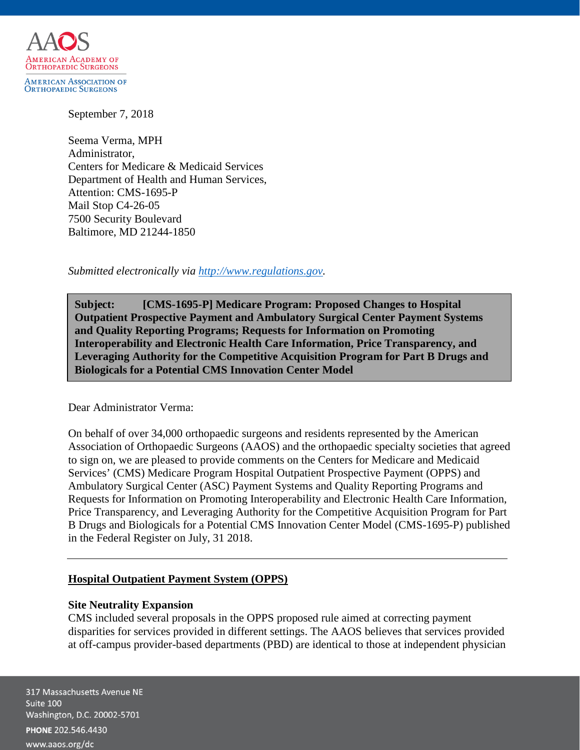

AMERICAN ASSOCIATION OF<br>Orthopaedic Surgeons

September 7, 2018

Seema Verma, MPH Administrator, Centers for Medicare & Medicaid Services Department of Health and Human Services, Attention: CMS-1695-P Mail Stop C4-26-05 7500 Security Boulevard Baltimore, MD 21244-1850

*Submitted electronically via [http://www.regulations.gov.](http://www.regulations.gov/)*

**Subject: [CMS-1695-P] Medicare Program: Proposed Changes to Hospital Outpatient Prospective Payment and Ambulatory Surgical Center Payment Systems and Quality Reporting Programs; Requests for Information on Promoting Interoperability and Electronic Health Care Information, Price Transparency, and Leveraging Authority for the Competitive Acquisition Program for Part B Drugs and Biologicals for a Potential CMS Innovation Center Model**

Dear Administrator Verma:

On behalf of over 34,000 orthopaedic surgeons and residents represented by the American Association of Orthopaedic Surgeons (AAOS) and the orthopaedic specialty societies that agreed to sign on, we are pleased to provide comments on the Centers for Medicare and Medicaid Services' (CMS) Medicare Program Hospital Outpatient Prospective Payment (OPPS) and Ambulatory Surgical Center (ASC) Payment Systems and Quality Reporting Programs and Requests for Information on Promoting Interoperability and Electronic Health Care Information, Price Transparency, and Leveraging Authority for the Competitive Acquisition Program for Part B Drugs and Biologicals for a Potential CMS Innovation Center Model (CMS-1695-P) published in the Federal Register on July, 31 2018.

# **Hospital Outpatient Payment System (OPPS)**

# **Site Neutrality Expansion**

CMS included several proposals in the OPPS proposed rule aimed at correcting payment disparities for services provided in different settings. The AAOS believes that services provided at off-campus provider-based departments (PBD) are identical to those at independent physician

317 Massachusetts Avenue NE Suite 100 Washington, D.C. 20002-5701 PHONE 202.546.4430 www.aaos.org/dc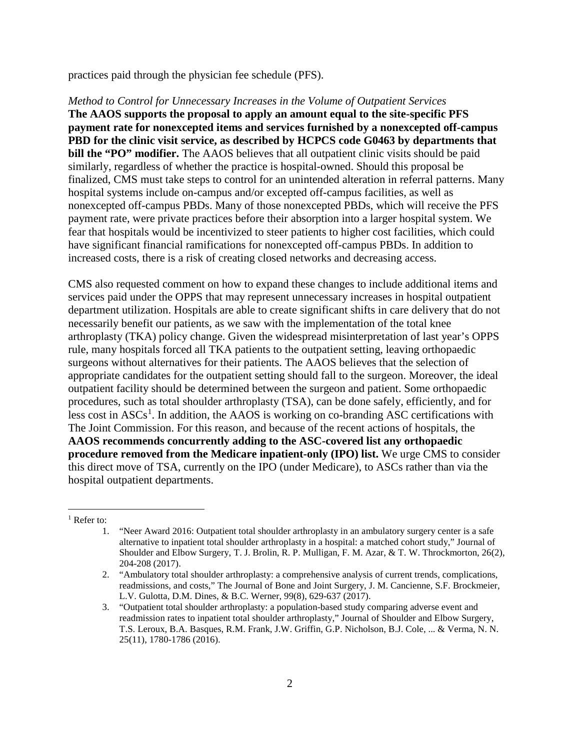practices paid through the physician fee schedule (PFS).

*Method to Control for Unnecessary Increases in the Volume of Outpatient Services* **The AAOS supports the proposal to apply an amount equal to the site-specific PFS payment rate for nonexcepted items and services furnished by a nonexcepted off-campus PBD for the clinic visit service, as described by HCPCS code G0463 by departments that bill the "PO" modifier.** The AAOS believes that all outpatient clinic visits should be paid similarly, regardless of whether the practice is hospital-owned. Should this proposal be finalized, CMS must take steps to control for an unintended alteration in referral patterns. Many hospital systems include on-campus and/or excepted off-campus facilities, as well as nonexcepted off-campus PBDs. Many of those nonexcepted PBDs, which will receive the PFS payment rate, were private practices before their absorption into a larger hospital system. We fear that hospitals would be incentivized to steer patients to higher cost facilities, which could have significant financial ramifications for nonexcepted off-campus PBDs. In addition to increased costs, there is a risk of creating closed networks and decreasing access.

CMS also requested comment on how to expand these changes to include additional items and services paid under the OPPS that may represent unnecessary increases in hospital outpatient department utilization. Hospitals are able to create significant shifts in care delivery that do not necessarily benefit our patients, as we saw with the implementation of the total knee arthroplasty (TKA) policy change. Given the widespread misinterpretation of last year's OPPS rule, many hospitals forced all TKA patients to the outpatient setting, leaving orthopaedic surgeons without alternatives for their patients. The AAOS believes that the selection of appropriate candidates for the outpatient setting should fall to the surgeon. Moreover, the ideal outpatient facility should be determined between the surgeon and patient. Some orthopaedic procedures, such as total shoulder arthroplasty (TSA), can be done safely, efficiently, and for less cost in  $ASCs<sup>1</sup>$  $ASCs<sup>1</sup>$  $ASCs<sup>1</sup>$ . In addition, the AAOS is working on co-branding ASC certifications with The Joint Commission. For this reason, and because of the recent actions of hospitals, the **AAOS recommends concurrently adding to the ASC-covered list any orthopaedic procedure removed from the Medicare inpatient-only (IPO) list.** We urge CMS to consider this direct move of TSA, currently on the IPO (under Medicare), to ASCs rather than via the hospital outpatient departments.

<span id="page-1-0"></span><sup>1</sup> Refer to:

<sup>1.</sup> "Neer Award 2016: Outpatient total shoulder arthroplasty in an ambulatory surgery center is a safe alternative to inpatient total shoulder arthroplasty in a hospital: a matched cohort study," Journal of Shoulder and Elbow Surgery, T. J. Brolin, R. P. Mulligan, F. M. Azar, & T. W. Throckmorton, 26(2), 204-208 (2017).

<sup>2.</sup> "Ambulatory total shoulder arthroplasty: a comprehensive analysis of current trends, complications, readmissions, and costs," The Journal of Bone and Joint Surgery, J. M. Cancienne, S.F. Brockmeier, L.V. Gulotta, D.M. Dines, & B.C. Werner, 99(8), 629-637 (2017).

<sup>3.</sup> "Outpatient total shoulder arthroplasty: a population-based study comparing adverse event and readmission rates to inpatient total shoulder arthroplasty," Journal of Shoulder and Elbow Surgery, T.S. Leroux, B.A. Basques, R.M. Frank, J.W. Griffin, G.P. Nicholson, B.J. Cole, ... & Verma, N. N. 25(11), 1780-1786 (2016).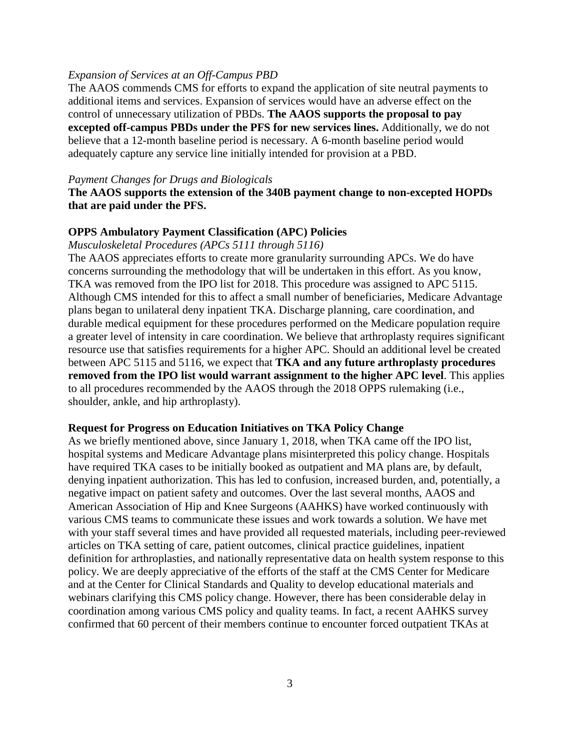### *Expansion of Services at an Off-Campus PBD*

The AAOS commends CMS for efforts to expand the application of site neutral payments to additional items and services. Expansion of services would have an adverse effect on the control of unnecessary utilization of PBDs. **The AAOS supports the proposal to pay excepted off-campus PBDs under the PFS for new services lines.** Additionally, we do not believe that a 12-month baseline period is necessary. A 6-month baseline period would adequately capture any service line initially intended for provision at a PBD.

#### *Payment Changes for Drugs and Biologicals*

## **The AAOS supports the extension of the 340B payment change to non-excepted HOPDs that are paid under the PFS.**

#### **OPPS Ambulatory Payment Classification (APC) Policies**

*Musculoskeletal Procedures (APCs 5111 through 5116)*

The AAOS appreciates efforts to create more granularity surrounding APCs. We do have concerns surrounding the methodology that will be undertaken in this effort. As you know, TKA was removed from the IPO list for 2018. This procedure was assigned to APC 5115. Although CMS intended for this to affect a small number of beneficiaries, Medicare Advantage plans began to unilateral deny inpatient TKA. Discharge planning, care coordination, and durable medical equipment for these procedures performed on the Medicare population require a greater level of intensity in care coordination. We believe that arthroplasty requires significant resource use that satisfies requirements for a higher APC. Should an additional level be created between APC 5115 and 5116, we expect that **TKA and any future arthroplasty procedures removed from the IPO list would warrant assignment to the higher APC level**. This applies to all procedures recommended by the AAOS through the 2018 OPPS rulemaking (i.e., shoulder, ankle, and hip arthroplasty).

#### **Request for Progress on Education Initiatives on TKA Policy Change**

As we briefly mentioned above, since January 1, 2018, when TKA came off the IPO list, hospital systems and Medicare Advantage plans misinterpreted this policy change. Hospitals have required TKA cases to be initially booked as outpatient and MA plans are, by default, denying inpatient authorization. This has led to confusion, increased burden, and, potentially, a negative impact on patient safety and outcomes. Over the last several months, AAOS and American Association of Hip and Knee Surgeons (AAHKS) have worked continuously with various CMS teams to communicate these issues and work towards a solution. We have met with your staff several times and have provided all requested materials, including peer-reviewed articles on TKA setting of care, patient outcomes, clinical practice guidelines, inpatient definition for arthroplasties, and nationally representative data on health system response to this policy. We are deeply appreciative of the efforts of the staff at the CMS Center for Medicare and at the Center for Clinical Standards and Quality to develop educational materials and webinars clarifying this CMS policy change. However, there has been considerable delay in coordination among various CMS policy and quality teams. In fact, a recent AAHKS survey confirmed that 60 percent of their members continue to encounter forced outpatient TKAs at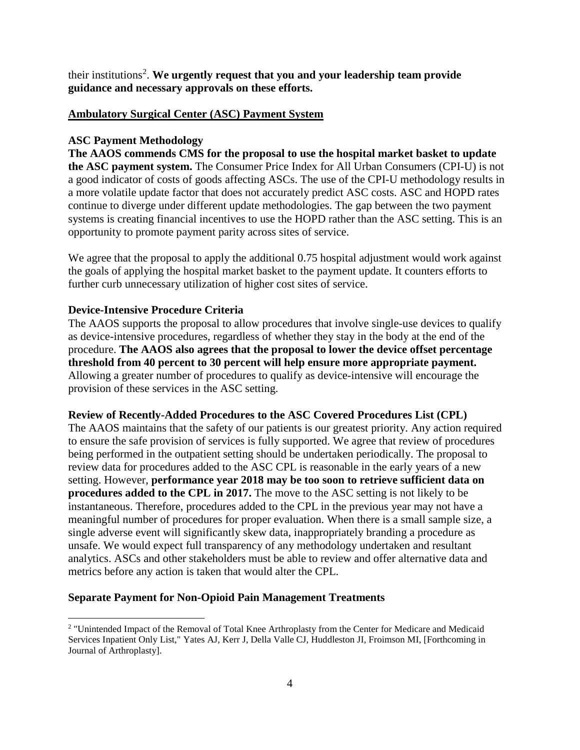their institutions[2](#page-3-0) . **We urgently request that you and your leadership team provide guidance and necessary approvals on these efforts.**

## **Ambulatory Surgical Center (ASC) Payment System**

## **ASC Payment Methodology**

**The AAOS commends CMS for the proposal to use the hospital market basket to update the ASC payment system.** The Consumer Price Index for All Urban Consumers (CPI-U) is not a good indicator of costs of goods affecting ASCs. The use of the CPI-U methodology results in a more volatile update factor that does not accurately predict ASC costs. ASC and HOPD rates continue to diverge under different update methodologies. The gap between the two payment systems is creating financial incentives to use the HOPD rather than the ASC setting. This is an opportunity to promote payment parity across sites of service.

We agree that the proposal to apply the additional 0.75 hospital adjustment would work against the goals of applying the hospital market basket to the payment update. It counters efforts to further curb unnecessary utilization of higher cost sites of service.

## **Device-Intensive Procedure Criteria**

The AAOS supports the proposal to allow procedures that involve single-use devices to qualify as device-intensive procedures, regardless of whether they stay in the body at the end of the procedure. **The AAOS also agrees that the proposal to lower the device offset percentage threshold from 40 percent to 30 percent will help ensure more appropriate payment.** Allowing a greater number of procedures to qualify as device-intensive will encourage the provision of these services in the ASC setting.

### **Review of Recently-Added Procedures to the ASC Covered Procedures List (CPL)**

The AAOS maintains that the safety of our patients is our greatest priority. Any action required to ensure the safe provision of services is fully supported. We agree that review of procedures being performed in the outpatient setting should be undertaken periodically. The proposal to review data for procedures added to the ASC CPL is reasonable in the early years of a new setting. However, **performance year 2018 may be too soon to retrieve sufficient data on procedures added to the CPL in 2017.** The move to the ASC setting is not likely to be instantaneous. Therefore, procedures added to the CPL in the previous year may not have a meaningful number of procedures for proper evaluation. When there is a small sample size, a single adverse event will significantly skew data, inappropriately branding a procedure as unsafe. We would expect full transparency of any methodology undertaken and resultant analytics. ASCs and other stakeholders must be able to review and offer alternative data and metrics before any action is taken that would alter the CPL.

### **Separate Payment for Non-Opioid Pain Management Treatments**

<span id="page-3-0"></span> <sup>2</sup> "Unintended Impact of the Removal of Total Knee Arthroplasty from the Center for Medicare and Medicaid Services Inpatient Only List," Yates AJ, Kerr J, Della Valle CJ, Huddleston JI, Froimson MI, [Forthcoming in Journal of Arthroplasty].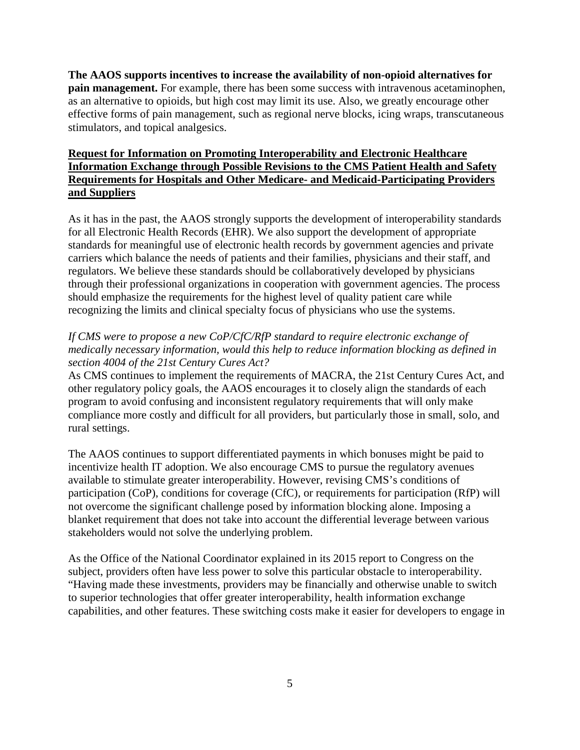**The AAOS supports incentives to increase the availability of non-opioid alternatives for pain management.** For example, there has been some success with intravenous acetaminophen, as an alternative to opioids, but high cost may limit its use. Also, we greatly encourage other effective forms of pain management, such as regional nerve blocks, icing wraps, transcutaneous stimulators, and topical analgesics.

# **Request for Information on Promoting Interoperability and Electronic Healthcare Information Exchange through Possible Revisions to the CMS Patient Health and Safety Requirements for Hospitals and Other Medicare- and Medicaid-Participating Providers and Suppliers**

As it has in the past, the AAOS strongly supports the development of interoperability standards for all Electronic Health Records (EHR). We also support the development of appropriate standards for meaningful use of electronic health records by government agencies and private carriers which balance the needs of patients and their families, physicians and their staff, and regulators. We believe these standards should be collaboratively developed by physicians through their professional organizations in cooperation with government agencies. The process should emphasize the requirements for the highest level of quality patient care while recognizing the limits and clinical specialty focus of physicians who use the systems.

# *If CMS were to propose a new CoP/CfC/RfP standard to require electronic exchange of medically necessary information, would this help to reduce information blocking as defined in section 4004 of the 21st Century Cures Act?*

As CMS continues to implement the requirements of MACRA, the 21st Century Cures Act, and other regulatory policy goals, the AAOS encourages it to closely align the standards of each program to avoid confusing and inconsistent regulatory requirements that will only make compliance more costly and difficult for all providers, but particularly those in small, solo, and rural settings.

The AAOS continues to support differentiated payments in which bonuses might be paid to incentivize health IT adoption. We also encourage CMS to pursue the regulatory avenues available to stimulate greater interoperability. However, revising CMS's conditions of participation (CoP), conditions for coverage (CfC), or requirements for participation (RfP) will not overcome the significant challenge posed by information blocking alone. Imposing a blanket requirement that does not take into account the differential leverage between various stakeholders would not solve the underlying problem.

As the Office of the National Coordinator explained in its 2015 report to Congress on the subject, providers often have less power to solve this particular obstacle to interoperability. "Having made these investments, providers may be financially and otherwise unable to switch to superior technologies that offer greater interoperability, health information exchange capabilities, and other features. These switching costs make it easier for developers to engage in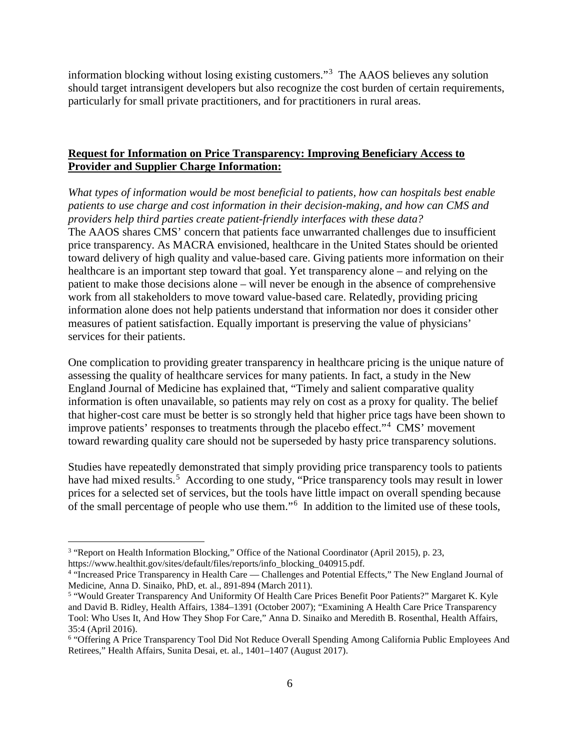information blocking without losing existing customers."[3](#page-5-0) The AAOS believes any solution should target intransigent developers but also recognize the cost burden of certain requirements, particularly for small private practitioners, and for practitioners in rural areas.

# **Request for Information on Price Transparency: Improving Beneficiary Access to Provider and Supplier Charge Information:**

*What types of information would be most beneficial to patients, how can hospitals best enable patients to use charge and cost information in their decision-making, and how can CMS and providers help third parties create patient-friendly interfaces with these data?* The AAOS shares CMS' concern that patients face unwarranted challenges due to insufficient price transparency. As MACRA envisioned, healthcare in the United States should be oriented toward delivery of high quality and value-based care. Giving patients more information on their healthcare is an important step toward that goal. Yet transparency alone – and relying on the patient to make those decisions alone – will never be enough in the absence of comprehensive work from all stakeholders to move toward value-based care. Relatedly, providing pricing information alone does not help patients understand that information nor does it consider other measures of patient satisfaction. Equally important is preserving the value of physicians' services for their patients.

One complication to providing greater transparency in healthcare pricing is the unique nature of assessing the quality of healthcare services for many patients. In fact, a study in the New England Journal of Medicine has explained that, "Timely and salient comparative quality information is often unavailable, so patients may rely on cost as a proxy for quality. The belief that higher-cost care must be better is so strongly held that higher price tags have been shown to improve patients' responses to treatments through the placebo effect."[4](#page-5-1) CMS' movement toward rewarding quality care should not be superseded by hasty price transparency solutions.

Studies have repeatedly demonstrated that simply providing price transparency tools to patients have had mixed results.<sup>[5](#page-5-2)</sup> According to one study, "Price transparency tools may result in lower prices for a selected set of services, but the tools have little impact on overall spending because of the small percentage of people who use them."<sup>[6](#page-5-3)</sup> In addition to the limited use of these tools,

<span id="page-5-0"></span> <sup>3</sup> "Report on Health Information Blocking," Office of the National Coordinator (April 2015), p. 23,

<span id="page-5-1"></span>https://www.healthit.gov/sites/default/files/reports/info\_blocking\_040915.pdf.<br><sup>4</sup> "Increased Price Transparency in Health Care — Challenges and Potential Effects," The New England Journal of Medicine, Anna D. Sinaiko, PhD, et. al., 891-894 (March 2011).

<span id="page-5-2"></span><sup>5</sup> "Would Greater Transparency And Uniformity Of Health Care Prices Benefit Poor Patients?" Margaret K. Kyle and David B. Ridley, Health Affairs, 1384–1391 (October 2007); "Examining A Health Care Price Transparency Tool: Who Uses It, And How They Shop For Care," Anna D. Sinaiko and Meredith B. Rosenthal, Health Affairs, 35:4 (April 2016).

<span id="page-5-3"></span><sup>6</sup> "Offering A Price Transparency Tool Did Not Reduce Overall Spending Among California Public Employees And Retirees," Health Affairs, Sunita Desai, et. al., 1401–1407 (August 2017).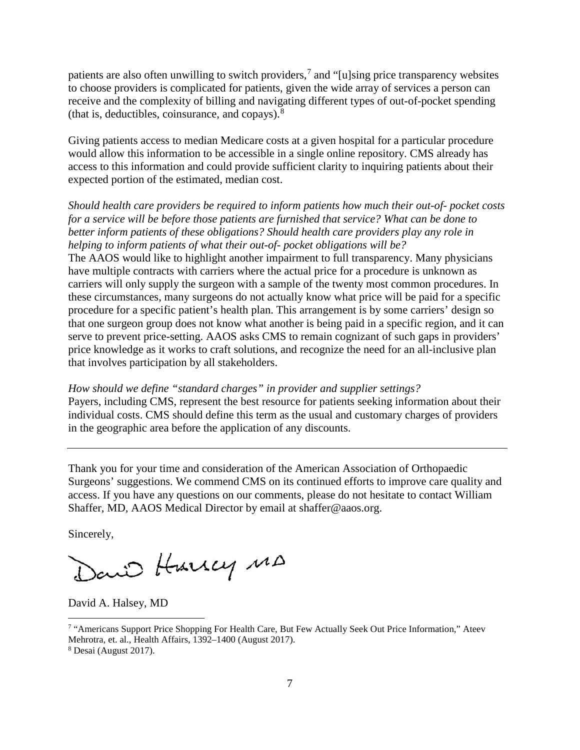patients are also often unwilling to switch providers,<sup>[7](#page-6-0)</sup> and "[u]sing price transparency websites to choose providers is complicated for patients, given the wide array of services a person can receive and the complexity of billing and navigating different types of out-of-pocket spending (that is, deductibles, coinsurance, and copays). $8$ 

Giving patients access to median Medicare costs at a given hospital for a particular procedure would allow this information to be accessible in a single online repository. CMS already has access to this information and could provide sufficient clarity to inquiring patients about their expected portion of the estimated, median cost.

*Should health care providers be required to inform patients how much their out-of- pocket costs for a service will be before those patients are furnished that service? What can be done to better inform patients of these obligations? Should health care providers play any role in helping to inform patients of what their out-of- pocket obligations will be?* The AAOS would like to highlight another impairment to full transparency. Many physicians have multiple contracts with carriers where the actual price for a procedure is unknown as carriers will only supply the surgeon with a sample of the twenty most common procedures. In these circumstances, many surgeons do not actually know what price will be paid for a specific procedure for a specific patient's health plan. This arrangement is by some carriers' design so that one surgeon group does not know what another is being paid in a specific region, and it can serve to prevent price-setting. AAOS asks CMS to remain cognizant of such gaps in providers' price knowledge as it works to craft solutions, and recognize the need for an all-inclusive plan that involves participation by all stakeholders.

*How should we define "standard charges" in provider and supplier settings?* Payers, including CMS, represent the best resource for patients seeking information about their individual costs. CMS should define this term as the usual and customary charges of providers in the geographic area before the application of any discounts.

Thank you for your time and consideration of the American Association of Orthopaedic Surgeons' suggestions. We commend CMS on its continued efforts to improve care quality and access. If you have any questions on our comments, please do not hesitate to contact William Shaffer, MD, AAOS Medical Director by email at [shaffer@aaos.org.](mailto:shaffer@aaos.org)

Sincerely,

David Hurrey MA

David A. Halsey, MD

<span id="page-6-0"></span> <sup>7</sup> "Americans Support Price Shopping For Health Care, But Few Actually Seek Out Price Information," Ateev

Mehrotra, et. al., Health Affairs, 1392–1400 (August 2017).

<span id="page-6-1"></span><sup>8</sup> Desai (August 2017).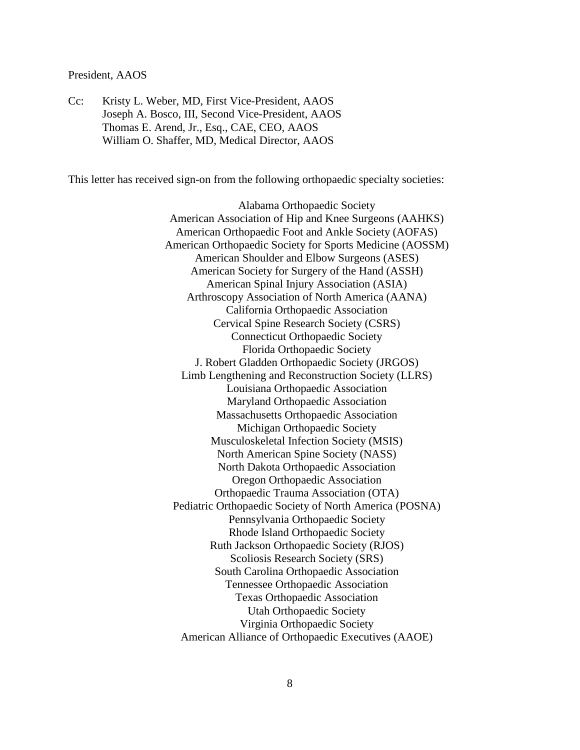#### President, AAOS

Cc: Kristy L. Weber, MD, First Vice-President, AAOS Joseph A. Bosco, III, Second Vice-President, AAOS Thomas E. Arend, Jr., Esq., CAE, CEO, AAOS William O. Shaffer, MD, Medical Director, AAOS

This letter has received sign-on from the following orthopaedic specialty societies:

Alabama Orthopaedic Society American Association of Hip and Knee Surgeons (AAHKS) American Orthopaedic Foot and Ankle Society (AOFAS) American Orthopaedic Society for Sports Medicine (AOSSM) American Shoulder and Elbow Surgeons (ASES) American Society for Surgery of the Hand (ASSH) American Spinal Injury Association (ASIA) Arthroscopy Association of North America (AANA) California Orthopaedic Association Cervical Spine Research Society (CSRS) Connecticut Orthopaedic Society Florida Orthopaedic Society J. Robert Gladden Orthopaedic Society (JRGOS) Limb Lengthening and Reconstruction Society (LLRS) Louisiana Orthopaedic Association Maryland Orthopaedic Association Massachusetts Orthopaedic Association Michigan Orthopaedic Society Musculoskeletal Infection Society (MSIS) North American Spine Society (NASS) North Dakota Orthopaedic Association Oregon Orthopaedic Association Orthopaedic Trauma Association (OTA) Pediatric Orthopaedic Society of North America (POSNA) Pennsylvania Orthopaedic Society Rhode Island Orthopaedic Society Ruth Jackson Orthopaedic Society (RJOS) Scoliosis Research Society (SRS) South Carolina Orthopaedic Association Tennessee Orthopaedic Association Texas Orthopaedic Association Utah Orthopaedic Society Virginia Orthopaedic Society American Alliance of Orthopaedic Executives (AAOE)